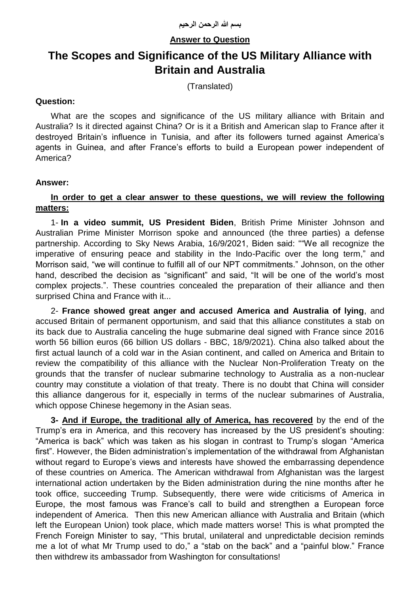# **Answer to Question**

# **The Scopes and Significance of the US Military Alliance with Britain and Australia**

(Translated)

## **Question:**

What are the scopes and significance of the US military alliance with Britain and Australia? Is it directed against China? Or is it a British and American slap to France after it destroyed Britain's influence in Tunisia, and after its followers turned against America's agents in Guinea, and after France's efforts to build a European power independent of America?

#### **Answer:**

# **In order to get a clear answer to these questions, we will review the following matters:**

1- **In a video summit, US President Biden**, British Prime Minister Johnson and Australian Prime Minister Morrison spoke and announced (the three parties) a defense partnership. According to Sky News Arabia, 16/9/2021, Biden said: ""We all recognize the imperative of ensuring peace and stability in the Indo-Pacific over the long term," and Morrison said, "we will continue to fulfill all of our NPT commitments." Johnson, on the other hand, described the decision as "significant" and said, "It will be one of the world's most complex projects.". These countries concealed the preparation of their alliance and then surprised China and France with it...

2- **France showed great anger and accused America and Australia of lying**, and accused Britain of permanent opportunism, and said that this alliance constitutes a stab on its back due to Australia canceling the huge submarine deal signed with France since 2016 worth 56 billion euros (66 billion US dollars - BBC, 18/9/2021). China also talked about the first actual launch of a cold war in the Asian continent, and called on America and Britain to review the compatibility of this alliance with the Nuclear Non-Proliferation Treaty on the grounds that the transfer of nuclear submarine technology to Australia as a non-nuclear country may constitute a violation of that treaty. There is no doubt that China will consider this alliance dangerous for it, especially in terms of the nuclear submarines of Australia, which oppose Chinese hegemony in the Asian seas.

**3- And if Europe, the traditional ally of America, has recovered** by the end of the Trump's era in America, and this recovery has increased by the US president's shouting: "America is back" which was taken as his slogan in contrast to Trump's slogan "America first". However, the Biden administration's implementation of the withdrawal from Afghanistan without regard to Europe's views and interests have showed the embarrassing dependence of these countries on America. The American withdrawal from Afghanistan was the largest international action undertaken by the Biden administration during the nine months after he took office, succeeding Trump. Subsequently, there were wide criticisms of America in Europe, the most famous was France's call to build and strengthen a European force independent of America. Then this new American alliance with Australia and Britain (which left the European Union) took place, which made matters worse! This is what prompted the French Foreign Minister to say, "This brutal, unilateral and unpredictable decision reminds me a lot of what Mr Trump used to do," a "stab on the back" and a "painful blow." France then withdrew its ambassador from Washington for consultations!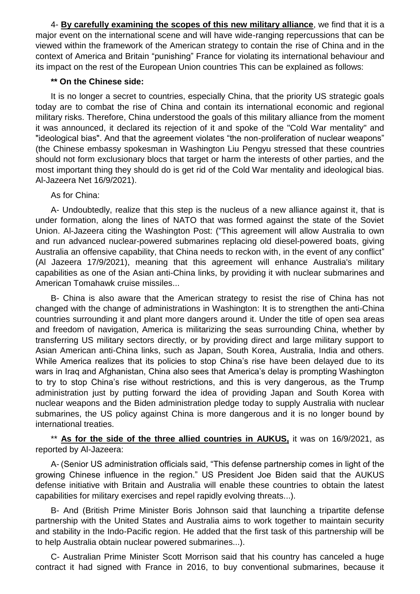4- **By carefully examining the scopes of this new military alliance**, we find that it is a major event on the international scene and will have wide-ranging repercussions that can be viewed within the framework of the American strategy to contain the rise of China and in the context of America and Britain "punishing" France for violating its international behaviour and its impact on the rest of the European Union countries This can be explained as follows:

#### **\*\* On the Chinese side:**

It is no longer a secret to countries, especially China, that the priority US strategic goals today are to combat the rise of China and contain its international economic and regional military risks. Therefore, China understood the goals of this military alliance from the moment it was announced, it declared its rejection of it and spoke of the "Cold War mentality" and "ideological bias". And that the agreement violates "the non-proliferation of nuclear weapons" (the Chinese embassy spokesman in Washington Liu Pengyu stressed that these countries should not form exclusionary blocs that target or harm the interests of other parties, and the most important thing they should do is get rid of the Cold War mentality and ideological bias. Al-Jazeera Net 16/9/2021).

As for China:

A- Undoubtedly, realize that this step is the nucleus of a new alliance against it, that is under formation, along the lines of NATO that was formed against the state of the Soviet Union. Al-Jazeera citing the Washington Post: ("This agreement will allow Australia to own and run advanced nuclear-powered submarines replacing old diesel-powered boats, giving Australia an offensive capability, that China needs to reckon with, in the event of any conflict" (Al Jazeera 17/9/2021), meaning that this agreement will enhance Australia's military capabilities as one of the Asian anti-China links, by providing it with nuclear submarines and American Tomahawk cruise missiles...

B- China is also aware that the American strategy to resist the rise of China has not changed with the change of administrations in Washington: It is to strengthen the anti-China countries surrounding it and plant more dangers around it. Under the title of open sea areas and freedom of navigation, America is militarizing the seas surrounding China, whether by transferring US military sectors directly, or by providing direct and large military support to Asian American anti-China links, such as Japan, South Korea, Australia, India and others. While America realizes that its policies to stop China's rise have been delayed due to its wars in Iraq and Afghanistan, China also sees that America's delay is prompting Washington to try to stop China's rise without restrictions, and this is very dangerous, as the Trump administration just by putting forward the idea of providing Japan and South Korea with nuclear weapons and the Biden administration pledge today to supply Australia with nuclear submarines, the US policy against China is more dangerous and it is no longer bound by international treaties.

\*\* As for the side of the three allied countries in AUKUS, it was on 16/9/2021, as reported by Al-Jazeera:

A- (Senior US administration officials said, "This defense partnership comes in light of the growing Chinese influence in the region." US President Joe Biden said that the AUKUS defense initiative with Britain and Australia will enable these countries to obtain the latest capabilities for military exercises and repel rapidly evolving threats...).

B- And (British Prime Minister Boris Johnson said that launching a tripartite defense partnership with the United States and Australia aims to work together to maintain security and stability in the Indo-Pacific region. He added that the first task of this partnership will be to help Australia obtain nuclear powered submarines...).

C- Australian Prime Minister Scott Morrison said that his country has canceled a huge contract it had signed with France in 2016, to buy conventional submarines, because it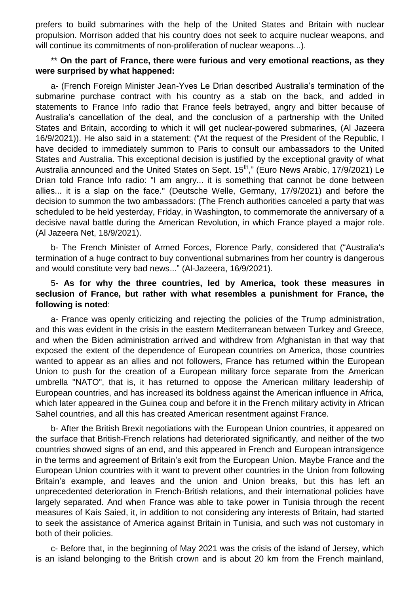prefers to build submarines with the help of the United States and Britain with nuclear propulsion. Morrison added that his country does not seek to acquire nuclear weapons, and will continue its commitments of non-proliferation of nuclear weapons...).

#### \*\* **On the part of France, there were furious and very emotional reactions, as they were surprised by what happened:**

a- (French Foreign Minister Jean-Yves Le Drian described Australia's termination of the submarine purchase contract with his country as a stab on the back, and added in statements to France Info radio that France feels betrayed, angry and bitter because of Australia's cancellation of the deal, and the conclusion of a partnership with the United States and Britain, according to which it will get nuclear-powered submarines, (Al Jazeera 16/9/2021)). He also said in a statement: ("At the request of the President of the Republic, I have decided to immediately summon to Paris to consult our ambassadors to the United States and Australia. This exceptional decision is justified by the exceptional gravity of what Australia announced and the United States on Sept. 15<sup>th</sup>," (Euro News Arabic, 17/9/2021) Le Drian told France Info radio: "I am angry... it is something that cannot be done between allies... it is a slap on the face." (Deutsche Welle, Germany, 17/9/2021) and before the decision to summon the two ambassadors: (The French authorities canceled a party that was scheduled to be held yesterday, Friday, in Washington, to commemorate the anniversary of a decisive naval battle during the American Revolution, in which France played a major role. (Al Jazeera Net, 18/9/2021).

b- The French Minister of Armed Forces, Florence Parly, considered that ("Australia's termination of a huge contract to buy conventional submarines from her country is dangerous and would constitute very bad news..." (Al-Jazeera, 16/9/2021).

## 5**- As for why the three countries, led by America, took these measures in seclusion of France, but rather with what resembles a punishment for France, the following is noted**:

a- France was openly criticizing and rejecting the policies of the Trump administration, and this was evident in the crisis in the eastern Mediterranean between Turkey and Greece, and when the Biden administration arrived and withdrew from Afghanistan in that way that exposed the extent of the dependence of European countries on America, those countries wanted to appear as an allies and not followers, France has returned within the European Union to push for the creation of a European military force separate from the American umbrella "NATO", that is, it has returned to oppose the American military leadership of European countries, and has increased its boldness against the American influence in Africa, which later appeared in the Guinea coup and before it in the French military activity in African Sahel countries, and all this has created American resentment against France.

b- After the British Brexit negotiations with the European Union countries, it appeared on the surface that British-French relations had deteriorated significantly, and neither of the two countries showed signs of an end, and this appeared in French and European intransigence in the terms and agreement of Britain's exit from the European Union. Maybe France and the European Union countries with it want to prevent other countries in the Union from following Britain's example, and leaves and the union and Union breaks, but this has left an unprecedented deterioration in French-British relations, and their international policies have largely separated. And when France was able to take power in Tunisia through the recent measures of Kais Saied, it, in addition to not considering any interests of Britain, had started to seek the assistance of America against Britain in Tunisia, and such was not customary in both of their policies.

c- Before that, in the beginning of May 2021 was the crisis of the island of Jersey, which is an island belonging to the British crown and is about 20 km from the French mainland,